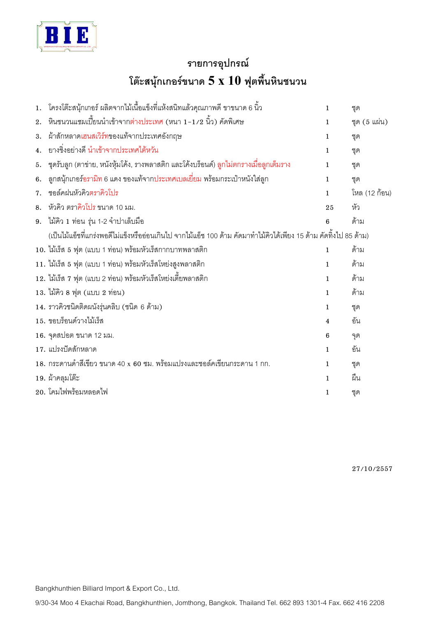

## รายการอุปกรณ์ โต๊ะสนุ้กเกอร์ขนาด  $5\ \mathrm{x}\ 10\$ ฟุตพื้นหินชนวน

| 1. | โครงโต๊ะสนุ้กเกอร์ ผลิตจากไม้เนื้อแข็งที่แห้งสนิทแล้วคุณภาพดี ขาขนาด 6 นิ้ว                                        | $\mathbf{1}$   | ขุด           |  |
|----|--------------------------------------------------------------------------------------------------------------------|----------------|---------------|--|
| 2. | ้หินชนวน <i>แชมเปี้ยน</i> นำเข้าจากต่างประเทศ (หนา 1−1 ⁄ 2 นิ้ว) คัดพิเศษ                                          | $\mathbf{1}$   | ชุด (5 แผ่น)  |  |
| 3. | ้ผ้าสักหลาดเฮนสเวิร์ทของแท้จากประเทศอังกฤษ                                                                         | $\mathbf{1}$   | ขุด           |  |
| 4. | ยางชิ่งอย่างดี นำเข้าจากประเทศไต้หวัน                                                                              | $\mathbf{1}$   | ชุด           |  |
| 5. | ี ชุดรับลูก (ตาข่าย, หนังหุ้มโค้ง, รางพลาสติก และโค้งบร็อนด์) ลูกไม่ตกรางเมื่อลูกเต็มราง                           | $\mathbf{1}$   | ขุด           |  |
| 6. | ี ลูกสนุ้กเกอร์อรามิท 6 แดง ของแท้จากประเทศเบลเยี่ยม พร้อมกระเป๋าหนังใส่ลูก                                        | $\mathbf{1}$   | ชุด           |  |
| 7. | ชอล์คฝนหัวคิวตราคิวโปร                                                                                             | $\mathbf{1}$   | โหล (12 ก้อน) |  |
| 8. | หัวคิว ตราคิวโปร ขนาด 10 มม.                                                                                       | 25             | ทัว           |  |
| 9. | ี่ไม้คิว 1 ท่อน รุ่น 1-2 จำปาเล็บมือ                                                                               | 6              | ด้าม          |  |
|    | (เป็นไม้แอ็ชที่แกร่งพอดีไม่แข็งหรืออ่อนเกินไป จากไม้แอ็ช 100 ด้าม คัดมาทำไม้คิวได้เพียง 15 ด้าม คัดทิ้งไป 85 ด้าม) |                |               |  |
|    | 10. ไม้เร็ส 5 ฟุต (แบบ 1 ท่อน) พร้อมหัวเร็สกากบาทพลาสติก                                                           | $\mathbf{1}$   | ด้าม          |  |
|    | 11. ไม้เร็ส 5 ฟุต (แบบ 1 ท่อน) พร้อมหัวเร็สโหย่งสูงพลาสติก                                                         | $\mathbf{1}$   | ด้าม          |  |
|    | 12. ไม้เร็ส 7 ฟุต (แบบ 2 ท่อน) พร้อมหัวเร็สโหย่งเตี้ยพลาสติก                                                       | $\mathbf{1}$   | ด้าม          |  |
|    | 13. ไม้คิว 8 ฟุต (แบบ 2 ท่อน)                                                                                      | $\mathbf{1}$   | ด้าม          |  |
|    | 14. ราวคิวชนิดติดผนังรุ่นคลิบ (ชนิด 6 ด้าม)                                                                        | $\mathbf{1}$   | ชุด           |  |
|    | 15. ขอบร็อนด์วางไม้เร็ส                                                                                            | $\overline{4}$ | ขัน           |  |
|    | 16. จุดสปอต ขนาด 12 มม.                                                                                            | 6              | จุด           |  |
|    | 17. แปรงปัดสักหลาด                                                                                                 | $\mathbf{1}$   | ขัน           |  |
|    | 18. กระดานดำสีเขียว ขนาด 40 x 60 ซม. พร้อมแปรงและชอล์คเขียนกระดาน 1 กก.                                            | $\mathbf{1}$   | ชุด           |  |
|    | 19. ผ้าคลุมโต๊ะ                                                                                                    | $\mathbf{1}$   | ฝืน           |  |
|    | 20. โคมไฟพร้อมหลอดไฟ                                                                                               | 1              | ขุด           |  |

27/10/2557